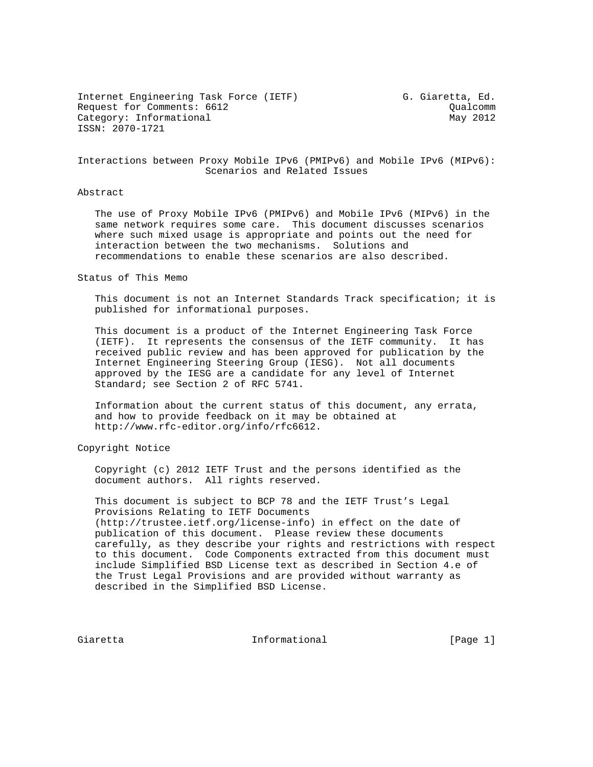Internet Engineering Task Force (IETF) G. Giaretta, Ed. Request for Comments: 6612 Cualcomm Category: Informational May 2012 ISSN: 2070-1721

Interactions between Proxy Mobile IPv6 (PMIPv6) and Mobile IPv6 (MIPv6): Scenarios and Related Issues

#### Abstract

 The use of Proxy Mobile IPv6 (PMIPv6) and Mobile IPv6 (MIPv6) in the same network requires some care. This document discusses scenarios where such mixed usage is appropriate and points out the need for interaction between the two mechanisms. Solutions and recommendations to enable these scenarios are also described.

Status of This Memo

 This document is not an Internet Standards Track specification; it is published for informational purposes.

 This document is a product of the Internet Engineering Task Force (IETF). It represents the consensus of the IETF community. It has received public review and has been approved for publication by the Internet Engineering Steering Group (IESG). Not all documents approved by the IESG are a candidate for any level of Internet Standard; see Section 2 of RFC 5741.

 Information about the current status of this document, any errata, and how to provide feedback on it may be obtained at http://www.rfc-editor.org/info/rfc6612.

Copyright Notice

 Copyright (c) 2012 IETF Trust and the persons identified as the document authors. All rights reserved.

 This document is subject to BCP 78 and the IETF Trust's Legal Provisions Relating to IETF Documents (http://trustee.ietf.org/license-info) in effect on the date of publication of this document. Please review these documents carefully, as they describe your rights and restrictions with respect to this document. Code Components extracted from this document must include Simplified BSD License text as described in Section 4.e of the Trust Legal Provisions and are provided without warranty as described in the Simplified BSD License.

Giaretta 10 Informational 1996 [Page 1]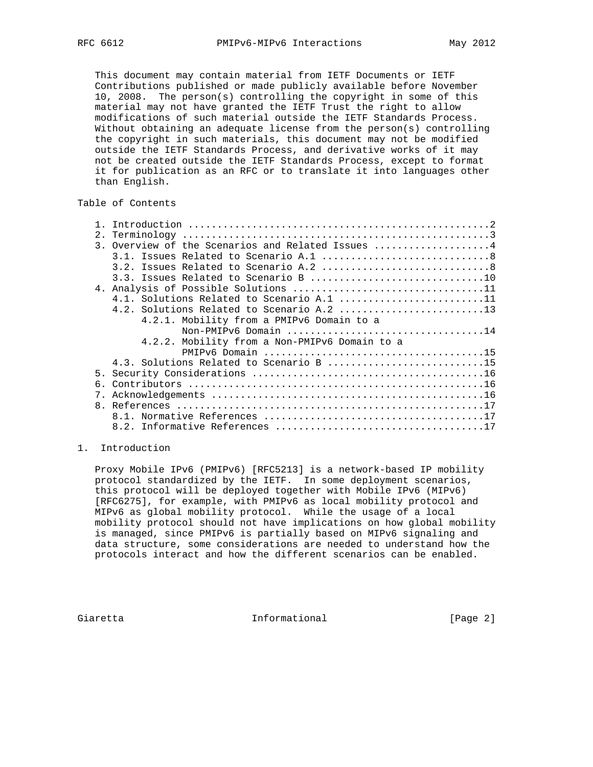This document may contain material from IETF Documents or IETF Contributions published or made publicly available before November 10, 2008. The person(s) controlling the copyright in some of this material may not have granted the IETF Trust the right to allow modifications of such material outside the IETF Standards Process. Without obtaining an adequate license from the person(s) controlling the copyright in such materials, this document may not be modified outside the IETF Standards Process, and derivative works of it may not be created outside the IETF Standards Process, except to format it for publication as an RFC or to translate it into languages other than English.

# Table of Contents

| 2. |                                                   |
|----|---------------------------------------------------|
|    | 3. Overview of the Scenarios and Related Issues 4 |
|    |                                                   |
|    |                                                   |
|    |                                                   |
|    |                                                   |
|    | 4.1. Solutions Related to Scenario A.1 11         |
|    | 4.2. Solutions Related to Scenario A.2 13         |
|    | 4.2.1. Mobility from a PMIPv6 Domain to a         |
|    | Non-PMIPv6 Domain 14                              |
|    | 4.2.2. Mobility from a Non-PMIPv6 Domain to a     |
|    |                                                   |
|    | 4.3. Solutions Related to Scenario B 15           |
|    |                                                   |
|    |                                                   |
| 7. |                                                   |
|    |                                                   |
|    |                                                   |
|    |                                                   |
|    |                                                   |

## 1. Introduction

 Proxy Mobile IPv6 (PMIPv6) [RFC5213] is a network-based IP mobility protocol standardized by the IETF. In some deployment scenarios, this protocol will be deployed together with Mobile IPv6 (MIPv6) [RFC6275], for example, with PMIPv6 as local mobility protocol and MIPv6 as global mobility protocol. While the usage of a local mobility protocol should not have implications on how global mobility is managed, since PMIPv6 is partially based on MIPv6 signaling and data structure, some considerations are needed to understand how the protocols interact and how the different scenarios can be enabled.

Giaretta 10 Informational 1996 [Page 2]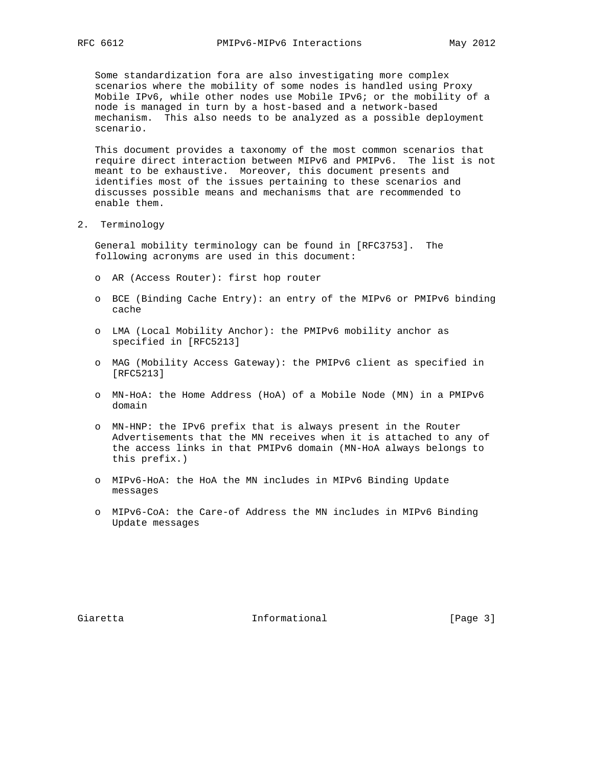Some standardization fora are also investigating more complex scenarios where the mobility of some nodes is handled using Proxy Mobile IPv6, while other nodes use Mobile IPv6; or the mobility of a node is managed in turn by a host-based and a network-based mechanism. This also needs to be analyzed as a possible deployment scenario.

 This document provides a taxonomy of the most common scenarios that require direct interaction between MIPv6 and PMIPv6. The list is not meant to be exhaustive. Moreover, this document presents and identifies most of the issues pertaining to these scenarios and discusses possible means and mechanisms that are recommended to enable them.

2. Terminology

 General mobility terminology can be found in [RFC3753]. The following acronyms are used in this document:

- o AR (Access Router): first hop router
- o BCE (Binding Cache Entry): an entry of the MIPv6 or PMIPv6 binding cache
- o LMA (Local Mobility Anchor): the PMIPv6 mobility anchor as specified in [RFC5213]
- o MAG (Mobility Access Gateway): the PMIPv6 client as specified in [RFC5213]
- o MN-HoA: the Home Address (HoA) of a Mobile Node (MN) in a PMIPv6 domain
- o MN-HNP: the IPv6 prefix that is always present in the Router Advertisements that the MN receives when it is attached to any of the access links in that PMIPv6 domain (MN-HoA always belongs to this prefix.)
- o MIPv6-HoA: the HoA the MN includes in MIPv6 Binding Update messages
- o MIPv6-CoA: the Care-of Address the MN includes in MIPv6 Binding Update messages

Giaretta 10 Informational 1992 [Page 3]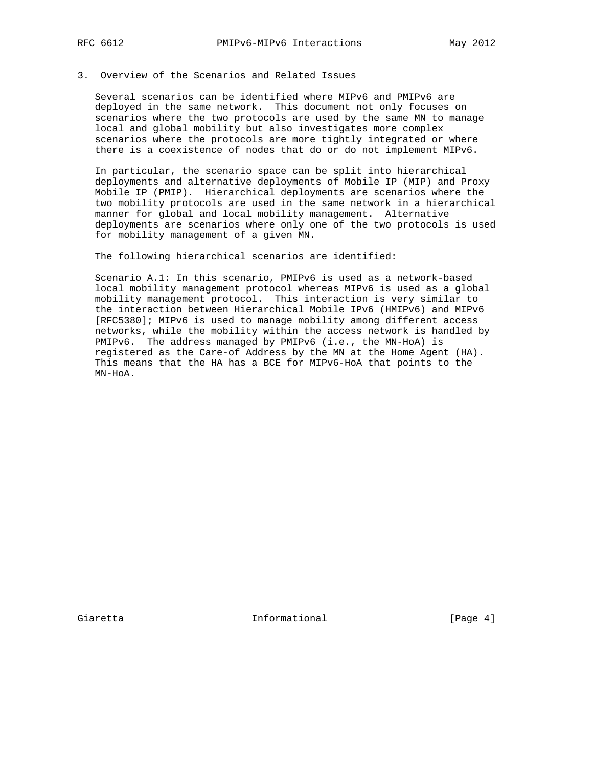## 3. Overview of the Scenarios and Related Issues

 Several scenarios can be identified where MIPv6 and PMIPv6 are deployed in the same network. This document not only focuses on scenarios where the two protocols are used by the same MN to manage local and global mobility but also investigates more complex scenarios where the protocols are more tightly integrated or where there is a coexistence of nodes that do or do not implement MIPv6.

 In particular, the scenario space can be split into hierarchical deployments and alternative deployments of Mobile IP (MIP) and Proxy Mobile IP (PMIP). Hierarchical deployments are scenarios where the two mobility protocols are used in the same network in a hierarchical manner for global and local mobility management. Alternative deployments are scenarios where only one of the two protocols is used for mobility management of a given MN.

The following hierarchical scenarios are identified:

 Scenario A.1: In this scenario, PMIPv6 is used as a network-based local mobility management protocol whereas MIPv6 is used as a global mobility management protocol. This interaction is very similar to the interaction between Hierarchical Mobile IPv6 (HMIPv6) and MIPv6 [RFC5380]; MIPv6 is used to manage mobility among different access networks, while the mobility within the access network is handled by PMIPv6. The address managed by PMIPv6 (i.e., the MN-HoA) is registered as the Care-of Address by the MN at the Home Agent (HA). This means that the HA has a BCE for MIPv6-HoA that points to the MN-HoA.

Giaretta **Informational Informational** [Page 4]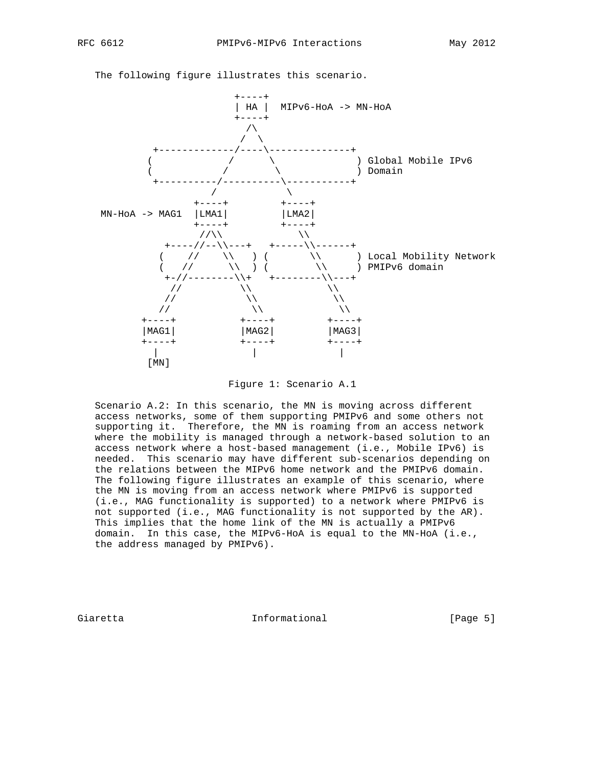

The following figure illustrates this scenario.

Figure 1: Scenario A.1

 Scenario A.2: In this scenario, the MN is moving across different access networks, some of them supporting PMIPv6 and some others not supporting it. Therefore, the MN is roaming from an access network where the mobility is managed through a network-based solution to an access network where a host-based management (i.e., Mobile IPv6) is needed. This scenario may have different sub-scenarios depending on the relations between the MIPv6 home network and the PMIPv6 domain. The following figure illustrates an example of this scenario, where the MN is moving from an access network where PMIPv6 is supported (i.e., MAG functionality is supported) to a network where PMIPv6 is not supported (i.e., MAG functionality is not supported by the AR). This implies that the home link of the MN is actually a PMIPv6 domain. In this case, the MIPv6-HoA is equal to the MN-HoA (i.e., the address managed by PMIPv6).

Giaretta 10 Informational 1996 [Page 5]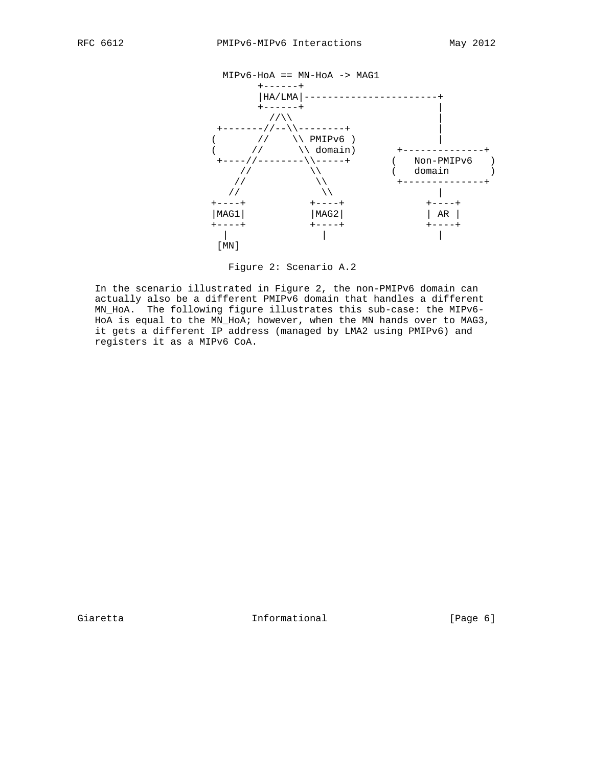

Figure 2: Scenario A.2

 In the scenario illustrated in Figure 2, the non-PMIPv6 domain can actually also be a different PMIPv6 domain that handles a different MN\_HoA. The following figure illustrates this sub-case: the MIPv6- HoA is equal to the MN\_HoA; however, when the MN hands over to MAG3, it gets a different IP address (managed by LMA2 using PMIPv6) and registers it as a MIPv6 CoA.

Giaretta 1nformational [Page 6]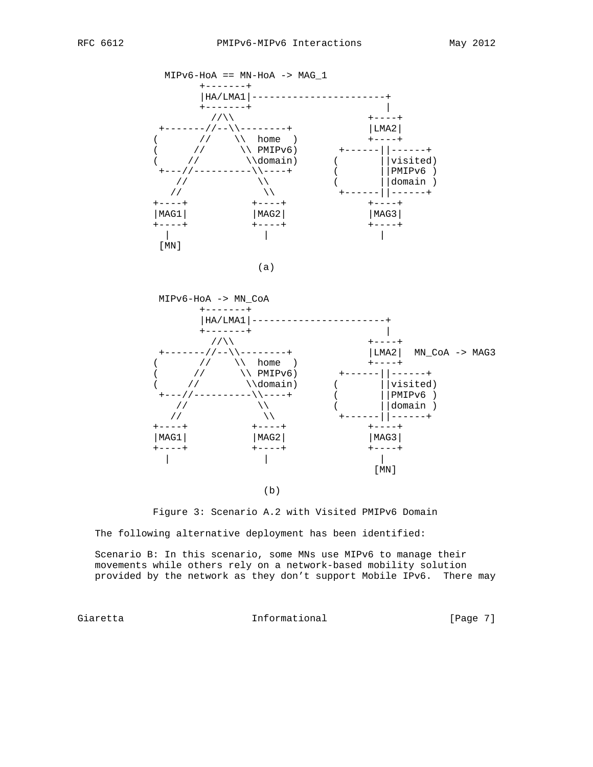



Figure 3: Scenario A.2 with Visited PMIPv6 Domain

The following alternative deployment has been identified:

 Scenario B: In this scenario, some MNs use MIPv6 to manage their movements while others rely on a network-based mobility solution provided by the network as they don't support Mobile IPv6. There may

Giaretta 10 Informational [Page 7]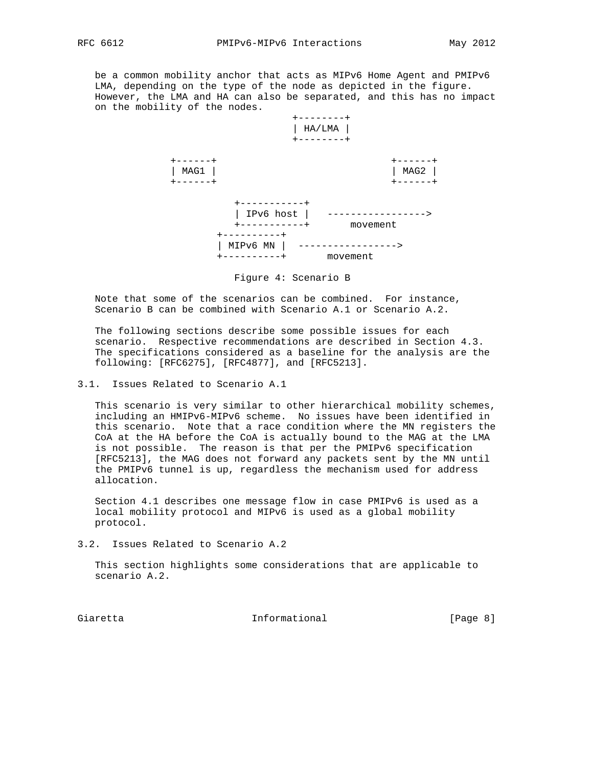be a common mobility anchor that acts as MIPv6 Home Agent and PMIPv6 LMA, depending on the type of the node as depicted in the figure. However, the LMA and HA can also be separated, and this has no impact on the mobility of the nodes.



Figure 4: Scenario B

 Note that some of the scenarios can be combined. For instance, Scenario B can be combined with Scenario A.1 or Scenario A.2.

 The following sections describe some possible issues for each scenario. Respective recommendations are described in Section 4.3. The specifications considered as a baseline for the analysis are the following: [RFC6275], [RFC4877], and [RFC5213].

3.1. Issues Related to Scenario A.1

 This scenario is very similar to other hierarchical mobility schemes, including an HMIPv6-MIPv6 scheme. No issues have been identified in this scenario. Note that a race condition where the MN registers the CoA at the HA before the CoA is actually bound to the MAG at the LMA is not possible. The reason is that per the PMIPv6 specification [RFC5213], the MAG does not forward any packets sent by the MN until the PMIPv6 tunnel is up, regardless the mechanism used for address allocation.

 Section 4.1 describes one message flow in case PMIPv6 is used as a local mobility protocol and MIPv6 is used as a global mobility protocol.

3.2. Issues Related to Scenario A.2

 This section highlights some considerations that are applicable to scenario A.2.

Giaretta 1nformational [Page 8]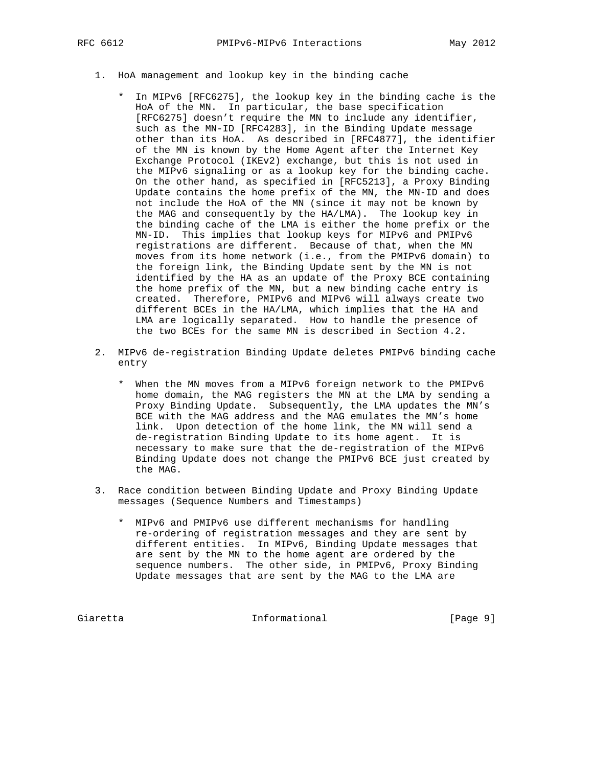- 1. HoA management and lookup key in the binding cache
	- \* In MIPv6 [RFC6275], the lookup key in the binding cache is the HoA of the MN. In particular, the base specification [RFC6275] doesn't require the MN to include any identifier, such as the MN-ID [RFC4283], in the Binding Update message other than its HoA. As described in [RFC4877], the identifier of the MN is known by the Home Agent after the Internet Key Exchange Protocol (IKEv2) exchange, but this is not used in the MIPv6 signaling or as a lookup key for the binding cache. On the other hand, as specified in [RFC5213], a Proxy Binding Update contains the home prefix of the MN, the MN-ID and does not include the HoA of the MN (since it may not be known by the MAG and consequently by the HA/LMA). The lookup key in the binding cache of the LMA is either the home prefix or the MN-ID. This implies that lookup keys for MIPv6 and PMIPv6 registrations are different. Because of that, when the MN moves from its home network (i.e., from the PMIPv6 domain) to the foreign link, the Binding Update sent by the MN is not identified by the HA as an update of the Proxy BCE containing the home prefix of the MN, but a new binding cache entry is created. Therefore, PMIPv6 and MIPv6 will always create two different BCEs in the HA/LMA, which implies that the HA and LMA are logically separated. How to handle the presence of the two BCEs for the same MN is described in Section 4.2.
- 2. MIPv6 de-registration Binding Update deletes PMIPv6 binding cache entry
	- \* When the MN moves from a MIPv6 foreign network to the PMIPv6 home domain, the MAG registers the MN at the LMA by sending a Proxy Binding Update. Subsequently, the LMA updates the MN's BCE with the MAG address and the MAG emulates the MN's home link. Upon detection of the home link, the MN will send a de-registration Binding Update to its home agent. It is necessary to make sure that the de-registration of the MIPv6 Binding Update does not change the PMIPv6 BCE just created by the MAG.
- 3. Race condition between Binding Update and Proxy Binding Update messages (Sequence Numbers and Timestamps)
	- \* MIPv6 and PMIPv6 use different mechanisms for handling re-ordering of registration messages and they are sent by different entities. In MIPv6, Binding Update messages that are sent by the MN to the home agent are ordered by the sequence numbers. The other side, in PMIPv6, Proxy Binding Update messages that are sent by the MAG to the LMA are

Giaretta 1nformational [Page 9]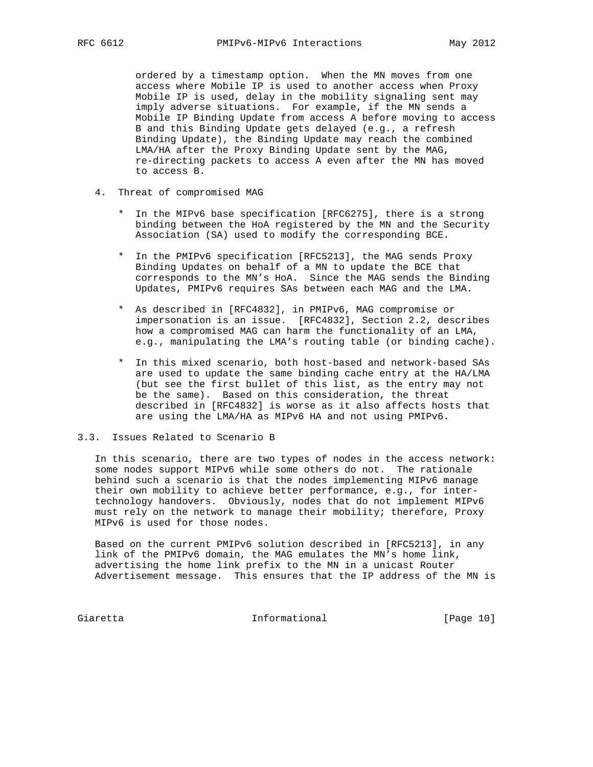ordered by a timestamp option. When the MN moves from one access where Mobile IP is used to another access when Proxy Mobile IP is used, delay in the mobility signaling sent may imply adverse situations. For example, if the MN sends a Mobile IP Binding Update from access A before moving to access B and this Binding Update gets delayed (e.g., a refresh Binding Update), the Binding Update may reach the combined LMA/HA after the Proxy Binding Update sent by the MAG, re-directing packets to access A even after the MN has moved to access B.

- 4. Threat of compromised MAG
	- \* In the MIPv6 base specification [RFC6275], there is a strong binding between the HoA registered by the MN and the Security Association (SA) used to modify the corresponding BCE.
	- \* In the PMIPv6 specification [RFC5213], the MAG sends Proxy Binding Updates on behalf of a MN to update the BCE that corresponds to the MN's HoA. Since the MAG sends the Binding Updates, PMIPv6 requires SAs between each MAG and the LMA.
	- \* As described in [RFC4832], in PMIPv6, MAG compromise or impersonation is an issue. [RFC4832], Section 2.2, describes how a compromised MAG can harm the functionality of an LMA, e.g., manipulating the LMA's routing table (or binding cache).
	- \* In this mixed scenario, both host-based and network-based SAs are used to update the same binding cache entry at the HA/LMA (but see the first bullet of this list, as the entry may not be the same). Based on this consideration, the threat described in [RFC4832] is worse as it also affects hosts that are using the LMA/HA as MIPv6 HA and not using PMIPv6.

# 3.3. Issues Related to Scenario B

 In this scenario, there are two types of nodes in the access network: some nodes support MIPv6 while some others do not. The rationale behind such a scenario is that the nodes implementing MIPv6 manage their own mobility to achieve better performance, e.g., for inter technology handovers. Obviously, nodes that do not implement MIPv6 must rely on the network to manage their mobility; therefore, Proxy MIPv6 is used for those nodes.

 Based on the current PMIPv6 solution described in [RFC5213], in any link of the PMIPv6 domain, the MAG emulates the MN's home link, advertising the home link prefix to the MN in a unicast Router Advertisement message. This ensures that the IP address of the MN is

Giaretta 10 Informational [Page 10]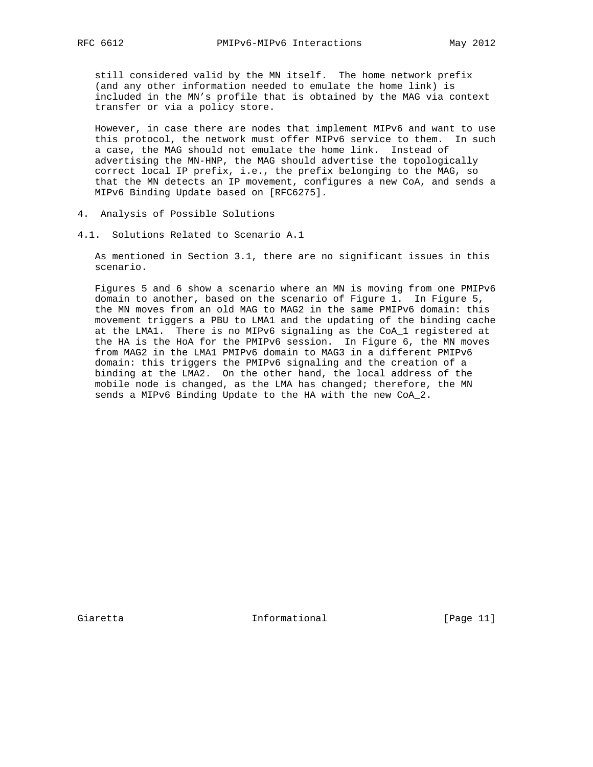still considered valid by the MN itself. The home network prefix (and any other information needed to emulate the home link) is included in the MN's profile that is obtained by the MAG via context transfer or via a policy store.

 However, in case there are nodes that implement MIPv6 and want to use this protocol, the network must offer MIPv6 service to them. In such a case, the MAG should not emulate the home link. Instead of advertising the MN-HNP, the MAG should advertise the topologically correct local IP prefix, i.e., the prefix belonging to the MAG, so that the MN detects an IP movement, configures a new CoA, and sends a MIPv6 Binding Update based on [RFC6275].

- 4. Analysis of Possible Solutions
- 4.1. Solutions Related to Scenario A.1

 As mentioned in Section 3.1, there are no significant issues in this scenario.

 Figures 5 and 6 show a scenario where an MN is moving from one PMIPv6 domain to another, based on the scenario of Figure 1. In Figure 5, the MN moves from an old MAG to MAG2 in the same PMIPv6 domain: this movement triggers a PBU to LMA1 and the updating of the binding cache at the LMA1. There is no MIPv6 signaling as the CoA\_1 registered at the HA is the HoA for the PMIPv6 session. In Figure 6, the MN moves from MAG2 in the LMA1 PMIPv6 domain to MAG3 in a different PMIPv6 domain: this triggers the PMIPv6 signaling and the creation of a binding at the LMA2. On the other hand, the local address of the mobile node is changed, as the LMA has changed; therefore, the MN sends a MIPv6 Binding Update to the HA with the new CoA\_2.

Giaretta 10 Informational [Page 11]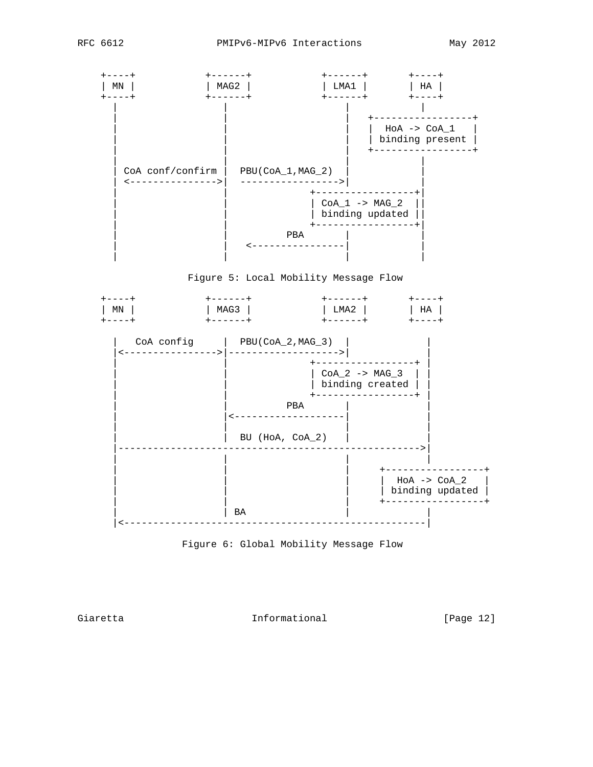





Giaretta 10 Informational [Page 12]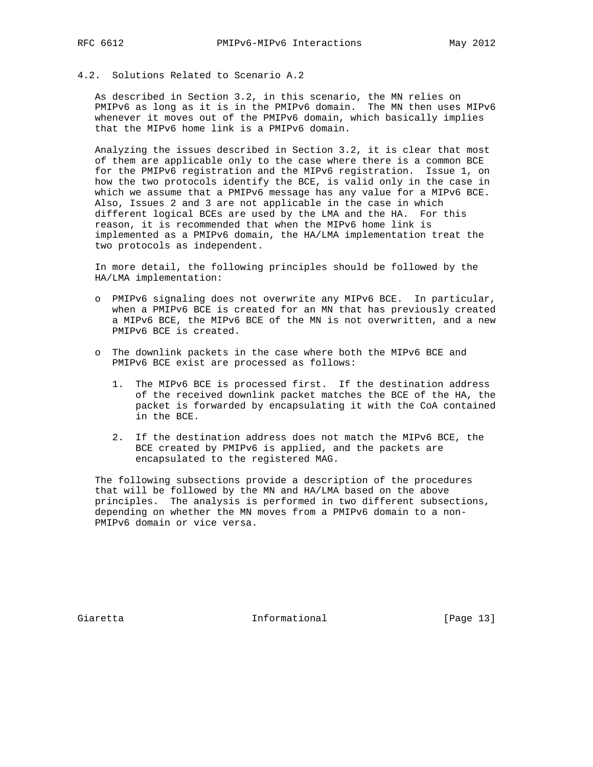## 4.2. Solutions Related to Scenario A.2

 As described in Section 3.2, in this scenario, the MN relies on PMIPv6 as long as it is in the PMIPv6 domain. The MN then uses MIPv6 whenever it moves out of the PMIPv6 domain, which basically implies that the MIPv6 home link is a PMIPv6 domain.

 Analyzing the issues described in Section 3.2, it is clear that most of them are applicable only to the case where there is a common BCE for the PMIPv6 registration and the MIPv6 registration. Issue 1, on how the two protocols identify the BCE, is valid only in the case in which we assume that a PMIPv6 message has any value for a MIPv6 BCE. Also, Issues 2 and 3 are not applicable in the case in which different logical BCEs are used by the LMA and the HA. For this reason, it is recommended that when the MIPv6 home link is implemented as a PMIPv6 domain, the HA/LMA implementation treat the two protocols as independent.

 In more detail, the following principles should be followed by the HA/LMA implementation:

- o PMIPv6 signaling does not overwrite any MIPv6 BCE. In particular, when a PMIPv6 BCE is created for an MN that has previously created a MIPv6 BCE, the MIPv6 BCE of the MN is not overwritten, and a new PMIPv6 BCE is created.
- o The downlink packets in the case where both the MIPv6 BCE and PMIPv6 BCE exist are processed as follows:
	- 1. The MIPv6 BCE is processed first. If the destination address of the received downlink packet matches the BCE of the HA, the packet is forwarded by encapsulating it with the CoA contained in the BCE.
	- 2. If the destination address does not match the MIPv6 BCE, the BCE created by PMIPv6 is applied, and the packets are encapsulated to the registered MAG.

 The following subsections provide a description of the procedures that will be followed by the MN and HA/LMA based on the above principles. The analysis is performed in two different subsections, depending on whether the MN moves from a PMIPv6 domain to a non- PMIPv6 domain or vice versa.

Giaretta 10 Informational [Page 13]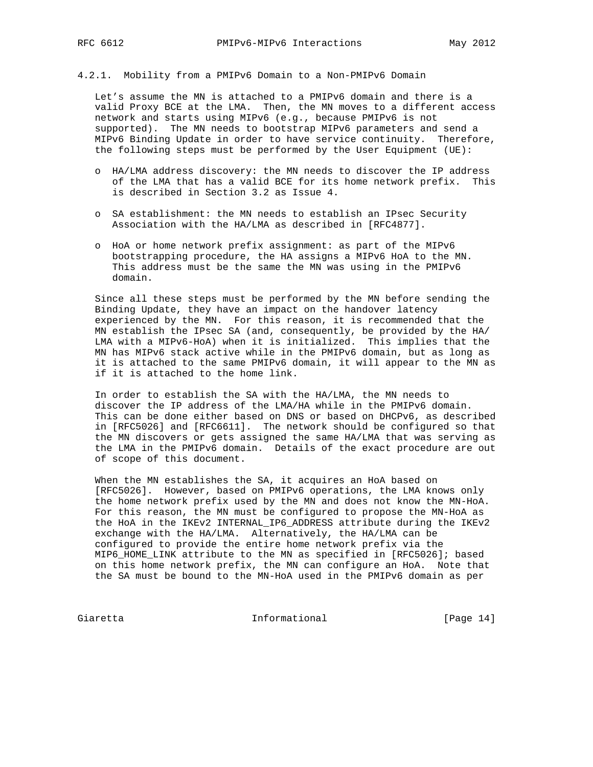## 4.2.1. Mobility from a PMIPv6 Domain to a Non-PMIPv6 Domain

 Let's assume the MN is attached to a PMIPv6 domain and there is a valid Proxy BCE at the LMA. Then, the MN moves to a different access network and starts using MIPv6 (e.g., because PMIPv6 is not supported). The MN needs to bootstrap MIPv6 parameters and send a MIPv6 Binding Update in order to have service continuity. Therefore, the following steps must be performed by the User Equipment (UE):

- o HA/LMA address discovery: the MN needs to discover the IP address of the LMA that has a valid BCE for its home network prefix. This is described in Section 3.2 as Issue 4.
- o SA establishment: the MN needs to establish an IPsec Security Association with the HA/LMA as described in [RFC4877].
- o HoA or home network prefix assignment: as part of the MIPv6 bootstrapping procedure, the HA assigns a MIPv6 HoA to the MN. This address must be the same the MN was using in the PMIPv6 domain.

 Since all these steps must be performed by the MN before sending the Binding Update, they have an impact on the handover latency experienced by the MN. For this reason, it is recommended that the MN establish the IPsec SA (and, consequently, be provided by the HA/ LMA with a MIPv6-HoA) when it is initialized. This implies that the MN has MIPv6 stack active while in the PMIPv6 domain, but as long as it is attached to the same PMIPv6 domain, it will appear to the MN as if it is attached to the home link.

 In order to establish the SA with the HA/LMA, the MN needs to discover the IP address of the LMA/HA while in the PMIPv6 domain. This can be done either based on DNS or based on DHCPv6, as described in [RFC5026] and [RFC6611]. The network should be configured so that the MN discovers or gets assigned the same HA/LMA that was serving as the LMA in the PMIPv6 domain. Details of the exact procedure are out of scope of this document.

 When the MN establishes the SA, it acquires an HoA based on [RFC5026]. However, based on PMIPv6 operations, the LMA knows only the home network prefix used by the MN and does not know the MN-HoA. For this reason, the MN must be configured to propose the MN-HoA as the HoA in the IKEv2 INTERNAL\_IP6\_ADDRESS attribute during the IKEv2 exchange with the HA/LMA. Alternatively, the HA/LMA can be configured to provide the entire home network prefix via the MIP6\_HOME\_LINK attribute to the MN as specified in [RFC5026]; based on this home network prefix, the MN can configure an HoA. Note that the SA must be bound to the MN-HoA used in the PMIPv6 domain as per

Giaretta 1nformational [Page 14]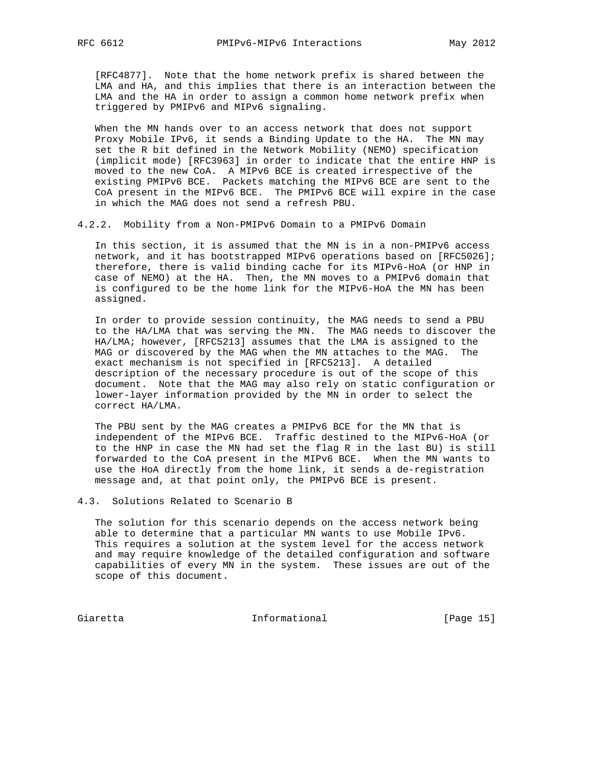[RFC4877]. Note that the home network prefix is shared between the LMA and HA, and this implies that there is an interaction between the LMA and the HA in order to assign a common home network prefix when triggered by PMIPv6 and MIPv6 signaling.

 When the MN hands over to an access network that does not support Proxy Mobile IPv6, it sends a Binding Update to the HA. The MN may set the R bit defined in the Network Mobility (NEMO) specification (implicit mode) [RFC3963] in order to indicate that the entire HNP is moved to the new CoA. A MIPv6 BCE is created irrespective of the existing PMIPv6 BCE. Packets matching the MIPv6 BCE are sent to the CoA present in the MIPv6 BCE. The PMIPv6 BCE will expire in the case in which the MAG does not send a refresh PBU.

4.2.2. Mobility from a Non-PMIPv6 Domain to a PMIPv6 Domain

 In this section, it is assumed that the MN is in a non-PMIPv6 access network, and it has bootstrapped MIPv6 operations based on [RFC5026]; therefore, there is valid binding cache for its MIPv6-HoA (or HNP in case of NEMO) at the HA. Then, the MN moves to a PMIPv6 domain that is configured to be the home link for the MIPv6-HoA the MN has been assigned.

 In order to provide session continuity, the MAG needs to send a PBU to the HA/LMA that was serving the MN. The MAG needs to discover the HA/LMA; however, [RFC5213] assumes that the LMA is assigned to the MAG or discovered by the MAG when the MN attaches to the MAG. The exact mechanism is not specified in [RFC5213]. A detailed description of the necessary procedure is out of the scope of this document. Note that the MAG may also rely on static configuration or lower-layer information provided by the MN in order to select the correct HA/LMA.

 The PBU sent by the MAG creates a PMIPv6 BCE for the MN that is independent of the MIPv6 BCE. Traffic destined to the MIPv6-HoA (or to the HNP in case the MN had set the flag R in the last BU) is still forwarded to the CoA present in the MIPv6 BCE. When the MN wants to use the HoA directly from the home link, it sends a de-registration message and, at that point only, the PMIPv6 BCE is present.

4.3. Solutions Related to Scenario B

 The solution for this scenario depends on the access network being able to determine that a particular MN wants to use Mobile IPv6. This requires a solution at the system level for the access network and may require knowledge of the detailed configuration and software capabilities of every MN in the system. These issues are out of the scope of this document.

Giaretta 10 Informational [Page 15]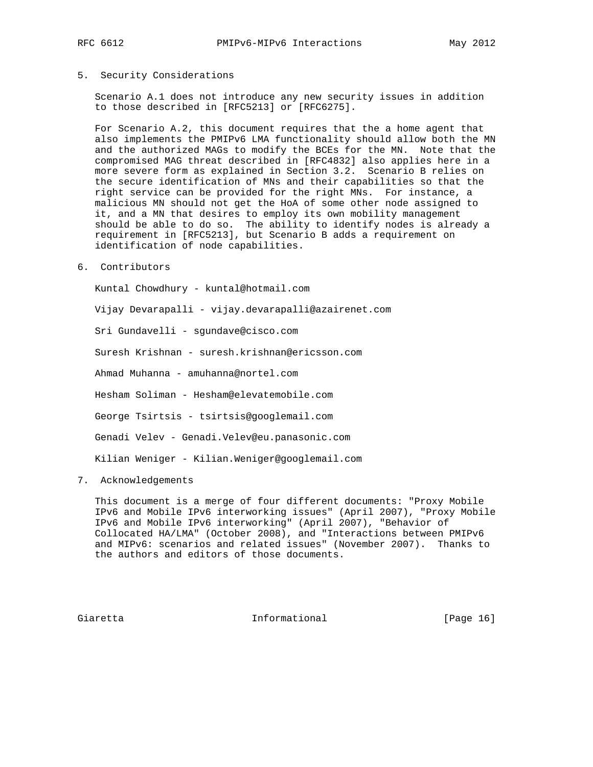## 5. Security Considerations

 Scenario A.1 does not introduce any new security issues in addition to those described in [RFC5213] or [RFC6275].

 For Scenario A.2, this document requires that the a home agent that also implements the PMIPv6 LMA functionality should allow both the MN and the authorized MAGs to modify the BCEs for the MN. Note that the compromised MAG threat described in [RFC4832] also applies here in a more severe form as explained in Section 3.2. Scenario B relies on the secure identification of MNs and their capabilities so that the right service can be provided for the right MNs. For instance, a malicious MN should not get the HoA of some other node assigned to it, and a MN that desires to employ its own mobility management should be able to do so. The ability to identify nodes is already a requirement in [RFC5213], but Scenario B adds a requirement on identification of node capabilities.

#### 6. Contributors

Kuntal Chowdhury - kuntal@hotmail.com

Vijay Devarapalli - vijay.devarapalli@azairenet.com

Sri Gundavelli - sgundave@cisco.com

Suresh Krishnan - suresh.krishnan@ericsson.com

Ahmad Muhanna - amuhanna@nortel.com

Hesham Soliman - Hesham@elevatemobile.com

George Tsirtsis - tsirtsis@googlemail.com

Genadi Velev - Genadi.Velev@eu.panasonic.com

Kilian Weniger - Kilian.Weniger@googlemail.com

7. Acknowledgements

 This document is a merge of four different documents: "Proxy Mobile IPv6 and Mobile IPv6 interworking issues" (April 2007), "Proxy Mobile IPv6 and Mobile IPv6 interworking" (April 2007), "Behavior of Collocated HA/LMA" (October 2008), and "Interactions between PMIPv6 and MIPv6: scenarios and related issues" (November 2007). Thanks to the authors and editors of those documents.

Giaretta **Informational** [Page 16]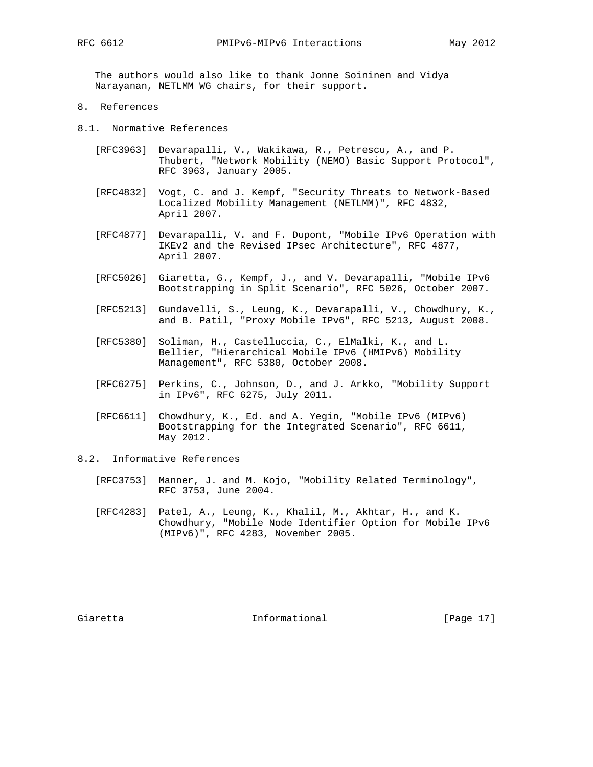The authors would also like to thank Jonne Soininen and Vidya Narayanan, NETLMM WG chairs, for their support.

- 8. References
- 8.1. Normative References
	- [RFC3963] Devarapalli, V., Wakikawa, R., Petrescu, A., and P. Thubert, "Network Mobility (NEMO) Basic Support Protocol", RFC 3963, January 2005.
	- [RFC4832] Vogt, C. and J. Kempf, "Security Threats to Network-Based Localized Mobility Management (NETLMM)", RFC 4832, April 2007.
	- [RFC4877] Devarapalli, V. and F. Dupont, "Mobile IPv6 Operation with IKEv2 and the Revised IPsec Architecture", RFC 4877, April 2007.
	- [RFC5026] Giaretta, G., Kempf, J., and V. Devarapalli, "Mobile IPv6 Bootstrapping in Split Scenario", RFC 5026, October 2007.
	- [RFC5213] Gundavelli, S., Leung, K., Devarapalli, V., Chowdhury, K., and B. Patil, "Proxy Mobile IPv6", RFC 5213, August 2008.
	- [RFC5380] Soliman, H., Castelluccia, C., ElMalki, K., and L. Bellier, "Hierarchical Mobile IPv6 (HMIPv6) Mobility Management", RFC 5380, October 2008.
	- [RFC6275] Perkins, C., Johnson, D., and J. Arkko, "Mobility Support in IPv6", RFC 6275, July 2011.
	- [RFC6611] Chowdhury, K., Ed. and A. Yegin, "Mobile IPv6 (MIPv6) Bootstrapping for the Integrated Scenario", RFC 6611, May 2012.
- 8.2. Informative References
	- [RFC3753] Manner, J. and M. Kojo, "Mobility Related Terminology", RFC 3753, June 2004.
	- [RFC4283] Patel, A., Leung, K., Khalil, M., Akhtar, H., and K. Chowdhury, "Mobile Node Identifier Option for Mobile IPv6 (MIPv6)", RFC 4283, November 2005.

Giaretta **Informational** [Page 17]